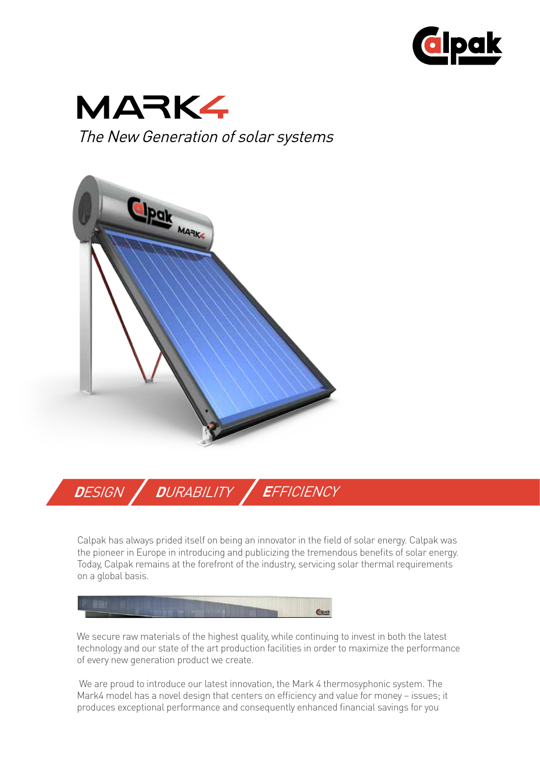



The New Generation of solar systems



**D**ESIGN **D**URABILITY **E**FFICIENCY

Calpak has always prided itself on being an innovator in the field of solar energy. Calpak was the pioneer in Europe in introducing and publicizing the tremendous benefits of solar energy. Today, Calpak remains at the forefront of the industry, servicing solar thermal requirements on a global basis.



We secure raw materials of the highest quality, while continuing to invest in both the latest technology and our state of the art production facilities in order to maximize the performance of every new generation product we create.

 We are proud to introduce our latest innovation, the Mark 4 thermosyphonic system. The Mark4 model has a novel design that centers on efficiency and value for money – issues; it produces exceptional performance and consequently enhanced financial savings for you